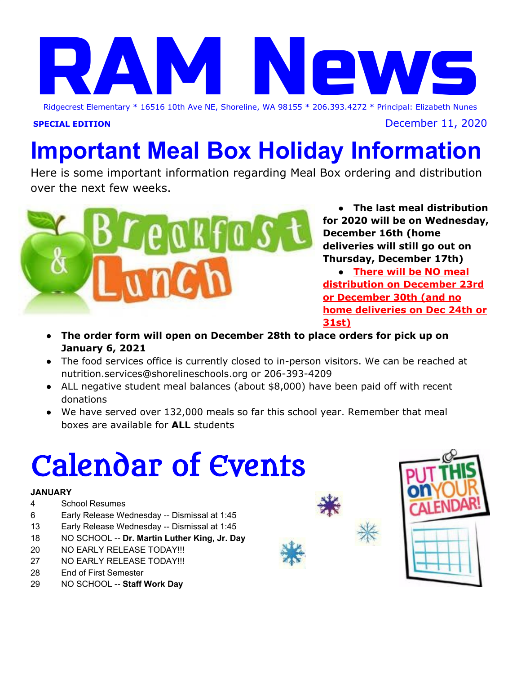# Ridgecrest Elemen Ridgecrest Elementary \* 16516 10th Ave NE, Shoreline, WA 98155 \* 206.393.4272 \* Principal: Elizabeth Nunes

**SPECIAL EDITION** December 11, 2020

# **Important Meal Box Holiday Information**

Here is some important information regarding Meal Box ordering and distribution over the next few weeks.



**● The last meal distribution for 2020 will be on Wednesday, December 16th (home deliveries will still go out on Thursday, December 17th)**

**● There will be NO meal distribution on December 23rd or December 30th (and no home deliveries on Dec 24th or 31st)**

- **● The order form will open on December 28th to place orders for pick up on January 6, 2021**
- **●** The food services office is currently closed to in-person visitors. We can be reached at nutrition.services@shorelineschools.org or 206-393-4209
- ALL negative student meal balances (about \$8,000) have been paid off with recent donations
- We have served over 132,000 meals so far this school year. Remember that meal boxes are available for **ALL** students

# Calendar of Events

#### **JANUARY**

- 4 School Resumes
- 6 Early Release Wednesday -- Dismissal at 1:45
- 13 Early Release Wednesday -- Dismissal at 1:45
- 18 NO SCHOOL -- **Dr. Martin Luther King, Jr. Day**
- 20 NO EARLY RELEASE TODAY!!!
- 27 NO EARLY RELEASE TODAY!!!
- 28 End of First Semester
- 29 NO SCHOOL -- **Staff Work Day**



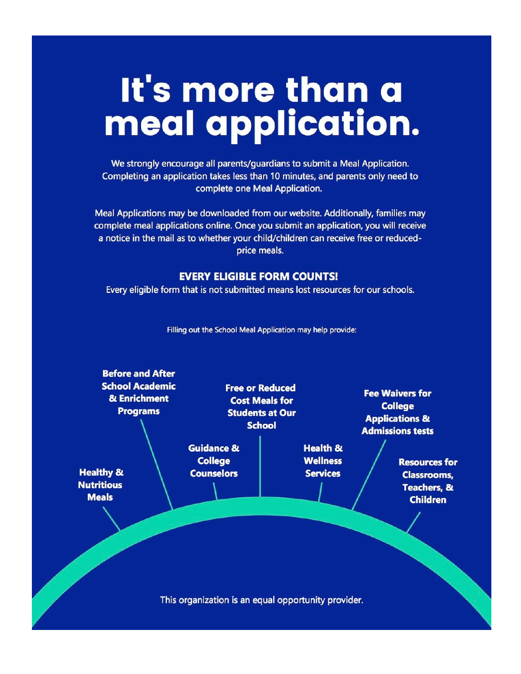# It's more than a meal application.

We strongly encourage all parents/guardians to submit a Meal Application. Completing an application takes less than 10 minutes, and parents only need to complete one Meal Application.

Meal Applications may be downloaded from our website. Additionally, families may complete meal applications online. Once you submit an application, you will receive a notice in the mail as to whether your child/children can receive free or reducedprice meals.

#### **EVERY ELIGIBLE FORM COUNTS!**

Every eligible form that is not submitted means lost resources for our schools.



Filling out the School Meal Application may help provide: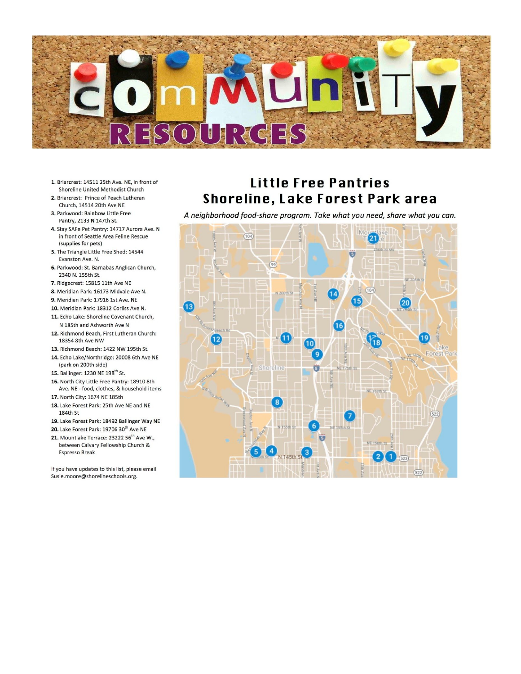

- 1. Briarcrest: 14511 25th Ave. NE, in front of Shoreline United Methodist Church
- 2. Briarcrest: Prince of Peach Lutheran Church, 14514 20th Ave NE
- 3. Parkwood: Rainbow Little Free Pantry, 2133 N 147th St.
- 4. Stay SAFe Pet Pantry: 14717 Aurora Ave. N in front of Seattle Area Feline Rescue (supplies for pets)
- 5. The Triangle Little Free Shed: 14544 Evanston Ave. N.
- 6. Parkwood: St. Barnabas Anglican Church, 2340 N. 155th St.
- 7. Ridgecrest: 15815 11th Ave NE
- 8. Meridian Park: 16173 Midvale Ave N.
- 9. Meridian Park: 17916 1st Ave. NE
- 10. Meridian Park: 18312 Corliss Ave N.
- 11. Echo Lake: Shoreline Covenant Church, N 185th and Ashworth Ave N
- 12. Richmond Beach, First Lutheran Church: 18354 8th Ave NW
- 13. Richmond Beach: 1422 NW 195th St. 14. Echo Lake/Northridge: 20008 6th Ave NE (park on 200th side)
- 15. Ballinger: 1230 NE 198<sup>th</sup> St.
- 16. North City Little Free Pantry: 18910 8th Ave. NE - food, clothes, & household items
- 17. North City: 1674 NE 185th
- 18. Lake Forest Park: 25th Ave NE and NE 184th St
- 19. Lake Forest Park: 18492 Ballinger Way NE
- 20. Lake Forest Park: 19706 30th Ave NE
- 21. Mountlake Terrace: 23222 56<sup>th</sup> Ave W., between Calvary Fellowship Church & **Espresso Break**

If you have updates to this list, please email Susie.moore@shorelineschools.org.

## Little Free Pantries Shoreline, Lake Forest Park area

A neighborhood food-share program. Take what you need, share what you can.

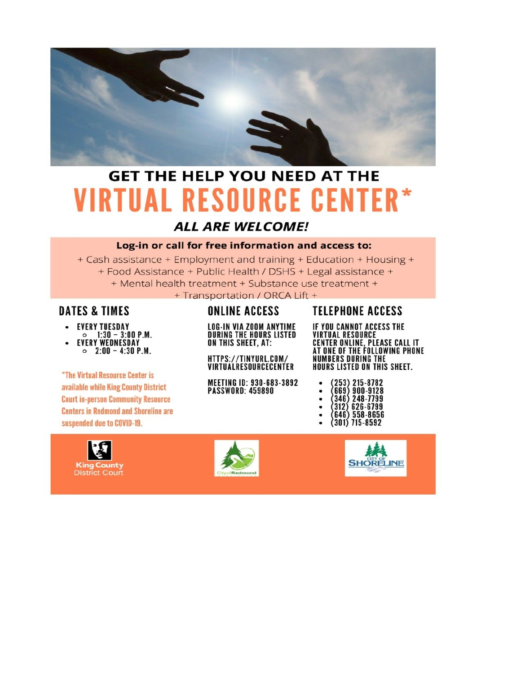

## **GET THE HELP YOU NEED AT THE VIRTUAL RESOURCE CENTER\***

### **ALL ARE WELCOME!**

#### Log-in or call for free information and access to:

+ Cash assistance + Employment and training + Education + Housing + + Food Assistance + Public Health / DSHS + Legal assistance + + Mental health treatment + Substance use treatment + + Transportation / ORCA Lift +

### **DATES & TIMES**

- **EVERY TUESDAY**
- $\circ$  1:30 3:00 P.M. **EVERY WEDNESDAY**  $\circ$  2:00 - 4:30 P.M.

*\*The Virtual Resource Center is* available while King County District **Court in-person Community Resource Centers in Redmond and Shoreline are** suspended due to COVID-19.



## **ONLINE ACCESS**

**LOG-IN VIA ZOOM ANYTIME<br>During the Hours Listed** ON THIS SHEET, AT:

HTTPS://TINYURL.COM/ VIRTUALRESOURCECENTER

**MEETING ID: 930-683-3892 PASSWORD: 459890** 

### **TELEPHONE ACCESS**

IF YOU CANNOT ACCESS THE **VIRTUAL RESOURCE CENTER ONLINE, PLEASE CALL IT<br>AT ONE OF THE FOLLOWING PHONE<br>NUMBERS DURING THE** HOURS LISTED ON THIS SHEET.

| (253) 215-8782<br>(669) 900-9128 |
|----------------------------------|
| $(346)$ 248-7799                 |
| (312) 626-6799                   |
| (646) 558-8656                   |
|                                  |

 $\bullet$  (301) 715-8592